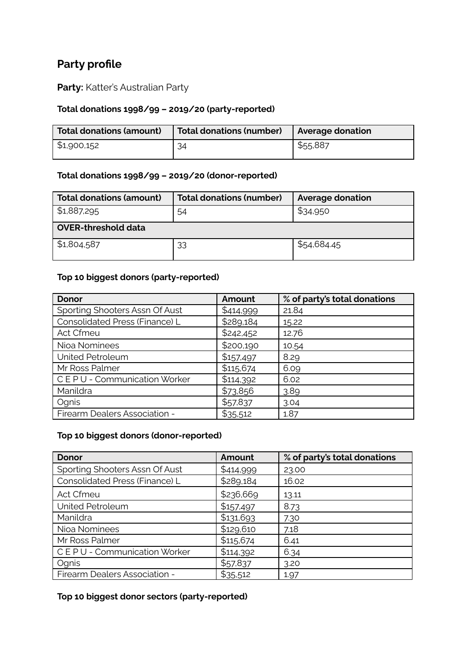# **Party profile**

**Party:** Katter's Australian Party

## **Total donations 1998/99 – 2019/20 (party-reported)**

| <b>Total donations (amount)</b> | <b>Total donations (number)</b> | Average donation |
|---------------------------------|---------------------------------|------------------|
| \$1,900,152                     | 34                              | \$55,887         |

#### **Total donations 1998/99 – 2019/20 (donor-reported)**

| <b>Total donations (amount)</b> | <b>Total donations (number)</b> | <b>Average donation</b> |  |  |
|---------------------------------|---------------------------------|-------------------------|--|--|
| \$1,887,295<br>54               |                                 | \$34,950                |  |  |
| <b>OVER-threshold data</b>      |                                 |                         |  |  |
| \$1,804,587                     | 33                              | \$54,684.45             |  |  |

### **Top 10 biggest donors (party-reported)**

| <b>Donor</b>                   | Amount    | % of party's total donations |
|--------------------------------|-----------|------------------------------|
| Sporting Shooters Assn Of Aust | \$414,999 | 21.84                        |
| Consolidated Press (Finance) L | \$289,184 | 15.22                        |
| Act Cfmeu                      | \$242,452 | 12.76                        |
| Nioa Nominees                  | \$200,190 | 10.54                        |
| United Petroleum               | \$157,497 | 8.29                         |
| Mr Ross Palmer                 | \$115,674 | 6.09                         |
| CEPU - Communication Worker    | \$114,392 | 6.02                         |
| Manildra                       | \$73,856  | 3.89                         |
| Ognis                          | \$57,837  | 3.04                         |
| Firearm Dealers Association -  | \$35,512  | 1.87                         |

#### **Top 10 biggest donors (donor-reported)**

| <b>Donor</b>                   | Amount    | % of party's total donations |
|--------------------------------|-----------|------------------------------|
| Sporting Shooters Assn Of Aust | \$414,999 | 23.00                        |
| Consolidated Press (Finance) L | \$289,184 | 16.02                        |
| Act Cfmeu                      | \$236,669 | 13.11                        |
| United Petroleum               | \$157,497 | 8.73                         |
| Manildra                       | \$131,693 | 7.30                         |
| Nioa Nominees                  | \$129,610 | 7.18                         |
| Mr Ross Palmer                 | \$115,674 | 6.41                         |
| CEPU - Communication Worker    | \$114,392 | 6.34                         |
| Ognis                          | \$57,837  | 3.20                         |
| Firearm Dealers Association -  | \$35,512  | 1.97                         |

#### **Top 10 biggest donor sectors (party-reported)**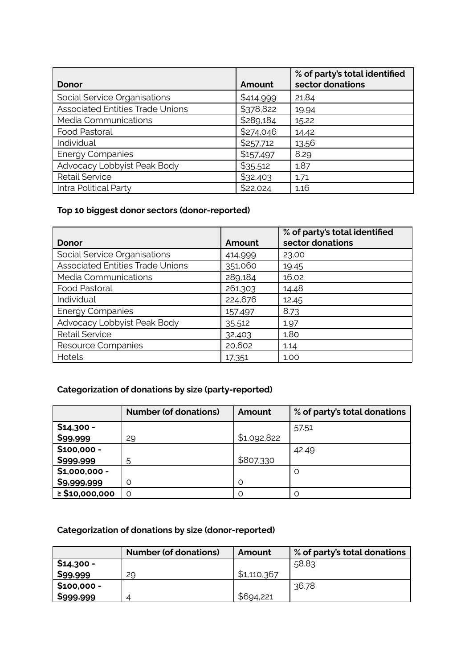| Donor                                   | Amount    | % of party's total identified<br>sector donations |
|-----------------------------------------|-----------|---------------------------------------------------|
| Social Service Organisations            | \$414,999 | 21.84                                             |
| <b>Associated Entities Trade Unions</b> | \$378,822 | 19.94                                             |
| Media Communications                    | \$289,184 | 15.22                                             |
| Food Pastoral                           | \$274,046 | 14.42                                             |
| Individual                              | \$257,712 | 13.56                                             |
| <b>Energy Companies</b>                 | \$157,497 | 8.29                                              |
| Advocacy Lobbyist Peak Body             | \$35,512  | 1.87                                              |
| <b>Retail Service</b>                   | \$32,403  | 1.71                                              |
| Intra Political Party                   | \$22,024  | 1.16                                              |

## **Top 10 biggest donor sectors (donor-reported)**

|                                         |         | % of party's total identified |
|-----------------------------------------|---------|-------------------------------|
| Donor                                   | Amount  | sector donations              |
| Social Service Organisations            | 414,999 | 23.00                         |
| <b>Associated Entities Trade Unions</b> | 351,060 | 19.45                         |
| Media Communications                    | 289,184 | 16.02                         |
| <b>Food Pastoral</b>                    | 261,303 | 14.48                         |
| Individual                              | 224,676 | 12.45                         |
| <b>Energy Companies</b>                 | 157,497 | 8.73                          |
| Advocacy Lobbyist Peak Body             | 35,512  | 1.97                          |
| <b>Retail Service</b>                   | 32,403  | 1.80                          |
| Resource Companies                      | 20,602  | 1.14                          |
| Hotels                                  | 17,351  | 1.00                          |

## **Categorization of donations by size (party-reported)**

|                     | <b>Number (of donations)</b> | Amount      | % of party's total donations |
|---------------------|------------------------------|-------------|------------------------------|
| $$14,300 -$         |                              |             | 57.51                        |
| \$99,999            | 29                           | \$1,092,822 |                              |
| $$100,000 -$        |                              |             | 42.49                        |
| \$999,999           | 5                            | \$807,330   |                              |
| $$1,000,000 -$      |                              |             | $\Omega$                     |
| \$9,999,999         |                              | $\Omega$    |                              |
| $\geq$ \$10,000,000 |                              |             |                              |

## **Categorization of donations by size (donor-reported)**

|              | <b>Number (of donations)</b> | Amount      | % of party's total donations |
|--------------|------------------------------|-------------|------------------------------|
| \$14,300 -   |                              |             | 58.83                        |
| \$99,999     | 29                           | \$1,110,367 |                              |
| $$100,000 -$ |                              |             | 36.78                        |
| \$999,999    |                              | \$694,221   |                              |